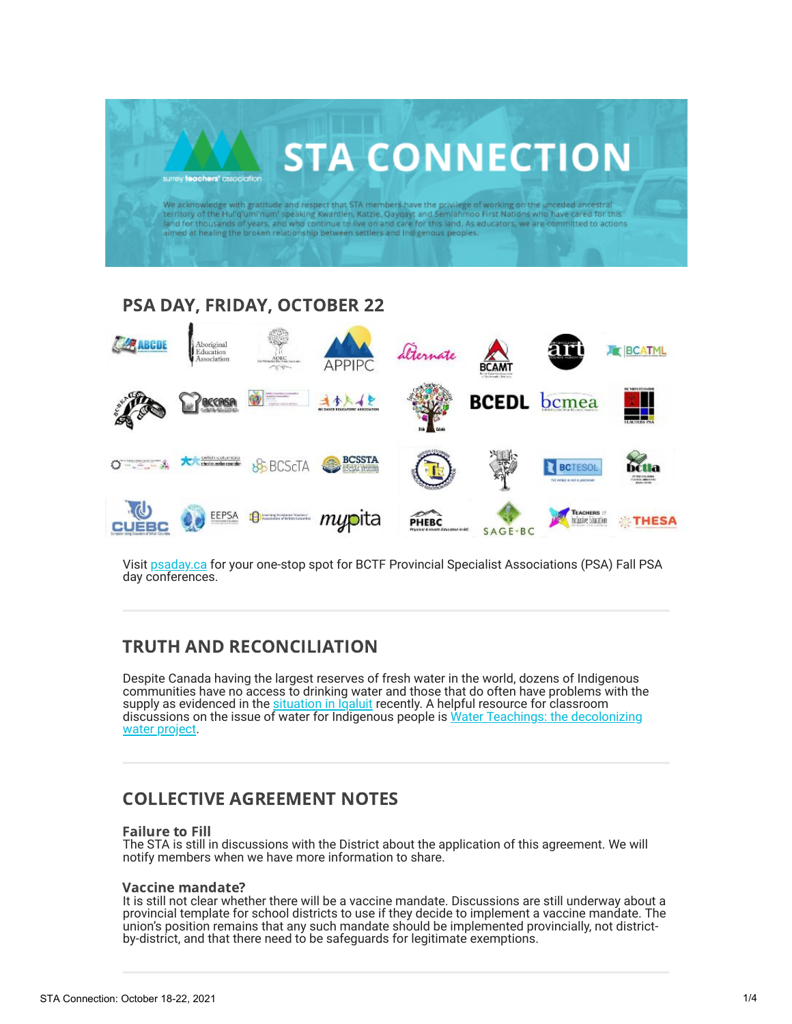

# PSA DAY, FRIDAY, OCTOBER 22



Visit [psaday.ca](http://www.psaday.ca/) for your one-stop spot for BCTF Provincial Specialist Associations (PSA) Fall PSA day conferences.

## TRUTH AND RECONCILIATION

Despite Canada having the largest reserves of fresh water in the world, dozens of Indigenous communities have no access to drinking water and those that do often have problems with the supply as evidenced in the [situation in Iqaluit](https://www.reuters.com/world/americas/canadian-arctic-city-confirms-exceedingly-high-levels-fuel-water-supply-2021-10-15/) recently. A helpful resource for classroom [discussions on the issue of water for Indigenous people is Water Teachings: the decolonizing](https://www.waterteachings.com/water-is-sovereign?fbclid=IwAR3NZXlfp0sjfE34iTjHBSYjdmV-1mEdUvNwA21_P_ATbcTlrpSLiRgIO3w) water project.

# COLLECTIVE AGREEMENT NOTES

#### Failure to Fill

The STA is still in discussions with the District about the application of this agreement. We will notify members when we have more information to share.

### Vaccine mandate?

It is still not clear whether there will be a vaccine mandate. Discussions are still underway about a provincial template for school districts to use if they decide to implement a vaccine mandate. The union's position remains that any such mandate should be implemented provincially, not districtby-district, and that there need to be safeguards for legitimate exemptions.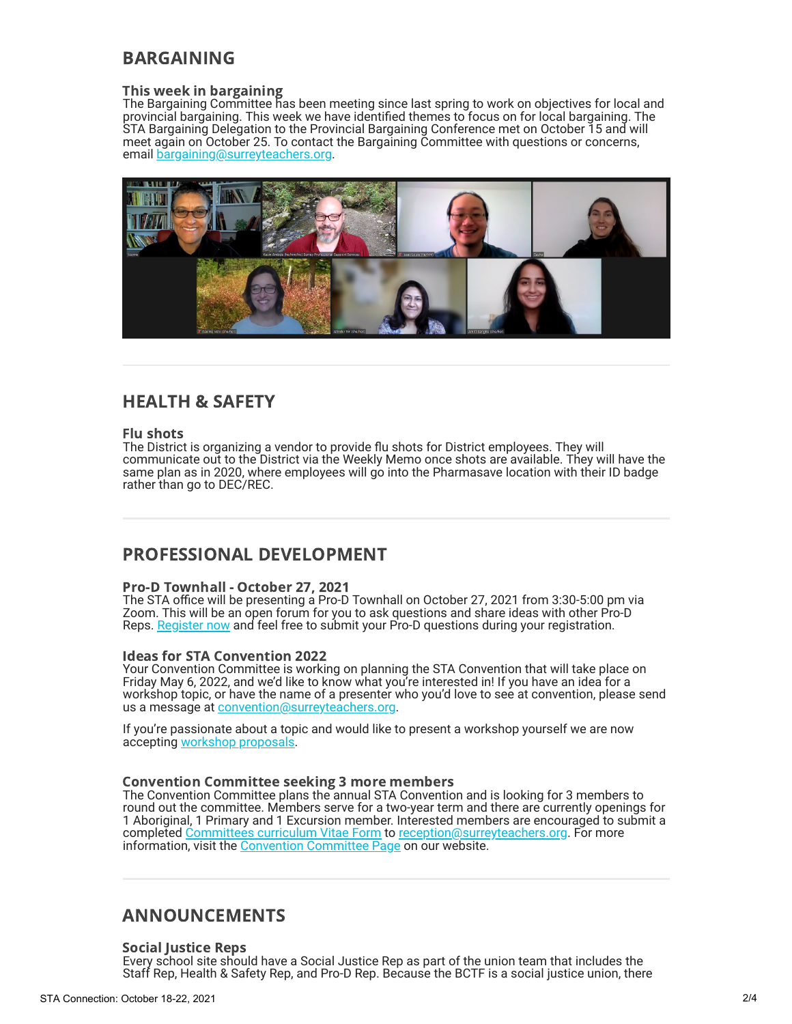# BARGAINING

### This week in bargaining

The Bargaining Committee has been meeting since last spring to work on objectives for local and provincial bargaining. This week we have identified themes to focus on for local bargaining. The STA Bargaining Delegation to the Provincial Bargaining Conference met on October 15 and will meet again on October 25. To contact the Bargaining Committee with questions or concerns, email [bargaining@surreyteachers.org.](mailto:bargaining@surreyteachers.org)



## HEALTH & SAFETY

#### Flu shots

The District is organizing a vendor to provide flu shots for District employees. They will communicate out to the District via the Weekly Memo once shots are available. They will have the same plan as in 2020, where employees will go into the Pharmasave location with their ID badge rather than go to DEC/REC.

## PROFESSIONAL DEVELOPMENT

### Pro-D Townhall - October 27, 2021

The STA office will be presenting a Pro-D Townhall on October 27, 2021 from 3:30-5:00 pm via Zoom. This will be an open forum for you to ask questions and share ideas with other Pro-D Reps. [Register now](https://docs.google.com/forms/d/e/1FAIpQLSdjrSN90QRjtuSrQJ2xGEPzFvoCDAYB8MVD5E0IMwcjlxeM-A/viewform) and feel free to submit your Pro-D questions during your registration.

### Ideas for STA Convention 2022

Your Convention Committee is working on planning the STA Convention that will take place on Friday May 6, 2022, and we'd like to know what you're interested in! If you have an idea for a workshop topic, or have the name of a presenter who you'd love to see at convention, please send us a message at [convention@surreyteachers.org.](mailto:convention@surreyteachers.org)

If you're passionate about a topic and would like to present a workshop yourself we are now accepting [workshop proposals.](https://staconvention.ca/index.php?Page=WorkshopProposals)

### Convention Committee seeking 3 more members

The Convention Committee plans the annual STA Convention and is looking for 3 members to round out the committee. Members serve for a two-year term and there are currently openings for 1 Aboriginal, 1 Primary and 1 Excursion member. Interested members are encouraged to submit a completed [Committees curriculum Vitae Form](https://www.surreyteachers.org/wp-content/uploads/2019/09/STA-CMT-CV-Form-2019.09.20.pdf) to [reception@surreyteachers.org](mailto:reception@surreyteachers.org). For more information, visit the <u>Convention Committee Page</u> on our website.

### ANNOUNCEMENTS

### Social Justice Reps

Every school site should have a Social Justice Rep as part of the union team that includes the Staff Rep, Health & Safety Rep, and Pro-D Rep. Because the BCTF is a social justice union, there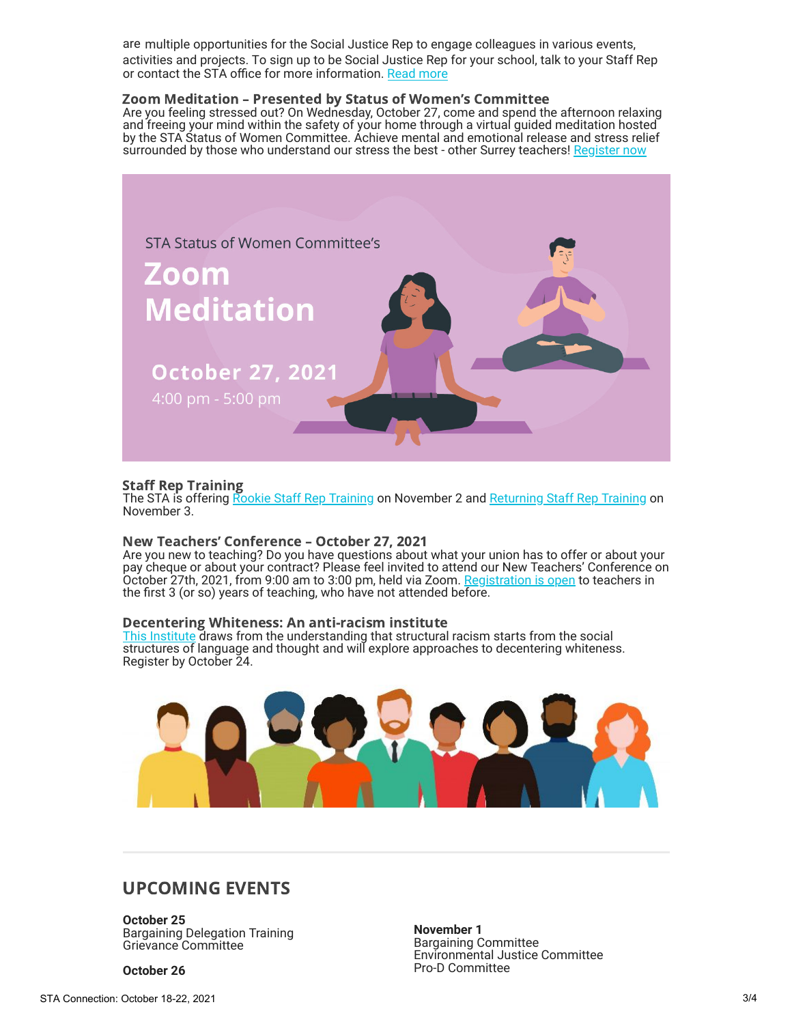are multiple opportunities for the Social Justice Rep to engage colleagues in various events, activities and projects. To sign up to be Social Justice Rep for your school, talk to your Staff Rep or contact the STA office for more information. [Read more](https://www.surreyteachers.org/union-reps/social-justice-reps/)

### Zoom Meditation – Presented by Status of Women's Committee

Are you feeling stressed out? On Wednesday, October 27, come and spend the afternoon relaxing and freeing your mind within the safety of your home through a virtual guided meditation hosted by the STA Status of Women Committee. Achieve mental and emotional release and stress relief surrounded by those who understand our stress the best - other Surrey teachers! [Register now](https://docs.google.com/forms/d/e/1FAIpQLSdX2jd4K6mWMidh1nXP10i-dyZ1L9gdChiyjhA8DY4-9DiOqA/viewform)



### Staff Rep Training

The STA is offering [Rookie Staff Rep Training](https://rookiesurt-fall2021.eventbrite.ca/) on November 2 and [Returning Staff Rep Training](https://surt-fall2021.eventbrite.ca/) on November 3.

#### New Teachers' Conference – October 27, 2021

Are you new to teaching? Do you have questions about what your union has to offer or about your pay cheque or about your contract? Please feel invited to attend our New Teachers' Conference on October 27th, 2021, from 9:00 am to 3:00 pm, held via Zoom. [Registration is open](https://ntc-oct27-21.eventbrite.ca/) to teachers in the first 3 (or so) years of teaching, who have not attended before.

#### Decentering Whiteness: An anti-racism institute

[This Institute](https://pdce.educ.ubc.ca/decentering_whiteness/#tab_About-0) draws from the understanding that structural racism starts from the social structures of language and thought and will explore approaches to decentering whiteness. Register by October 24.



### UPCOMING EVENTS

**October 25** Bargaining Delegation Training Grievance Committee

**October 26**

**November 1** Bargaining Committee Environmental Justice Committee Pro-D Committee